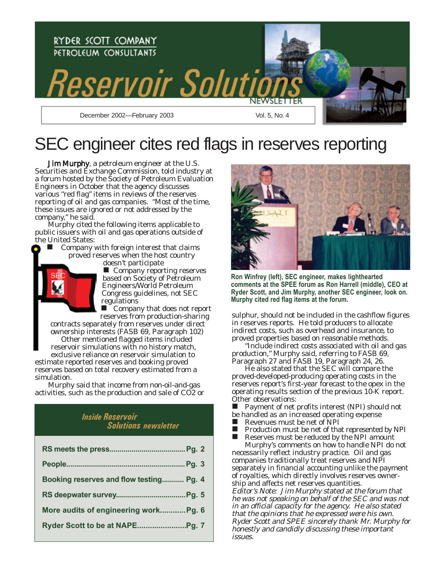

# SEC engineer cites red flags in reserves reporting

Jim Murphy, a petroleum engineer at the U.S. Securities and Exchange Commission, told industry at a forum hosted by the Society of Petroleum Evaluation Engineers in October that the agency discusses various "red flag" items in reviews of the reserves reporting of oil and gas companies. "Most of the time, these issues are ignored or not addressed by the company," he said.

Murphy cited the following items applicable to public issuers with oil and gas operations outside of the United States:

 Company with foreign interest that claims proved reserves when the host country doesn't participate



■ Company reporting reserves based on Society of Petroleum Engineers/World Petroleum Congress guidelines, not SEC regulations

 Company that does not report reserves from production-sharing

contracts separately from reserves under direct ownership interests (FASB 69, Paragraph 102) Other mentioned flagged items included reservoir simulations with no history match, exclusive reliance on reservoir simulation to

estimate reported reserves and booking proved reserves based on total recovery estimated from a simulation.

Murphy said that income from non-oil-and-gas activities, such as the production and sale of CO2 or

### *Inside Reservoir Solutions newsletter*

| Booking reserves and flow testing Pg. 4 |  |
|-----------------------------------------|--|
|                                         |  |
| More audits of engineering work Pg. 6   |  |
|                                         |  |
|                                         |  |



**Ron Winfrey (left), SEC engineer, makes lighthearted comments at the SPEE forum as Ron Harrell (middle), CEO at Ryder Scott, and Jim Murphy, another SEC engineer, look on. Murphy cited red flag items at the forum.**

sulphur, should not be included in the cashflow figures in reserves reports. He told producers to allocate indirect costs, such as overhead and insurance, to proved properties based on reasonable methods.

"Include indirect costs associated with oil and gas production," Murphy said, referring to FASB 69, Paragraph 27 and FASB 19, Paragraph 24, 26.

He also stated that the SEC will compare the proved-developed-producing operating costs in the reserves report's first-year forecast to the opex in the operating results section of the previous 10-K report. Other observations:

■ Payment of net profits interest (NPI) should not be handled as an increased operating expense

- Revenues must be net of NPI
- $\blacksquare$  Production must be net of that represented by NPI
- $\blacksquare$  Reserves must be reduced by the NPI amount

Murphy's comments on how to handle NPI do not necessarily reflect industry practice. Oil and gas companies traditionally treat reserves and NPI separately in financial accounting unlike the payment of royalties, which directly involves reserves ownership and affects net reserves quantities.

*Editor's Note: Jim Murphy stated at the forum that he was not speaking on behalf of the SEC and was not in an official capacity for the agency. He also stated that the opinions that he expressed were his own. Ryder Scott and SPEE sincerely thank Mr. Murphy for honestly and candidly discussing these important issues.*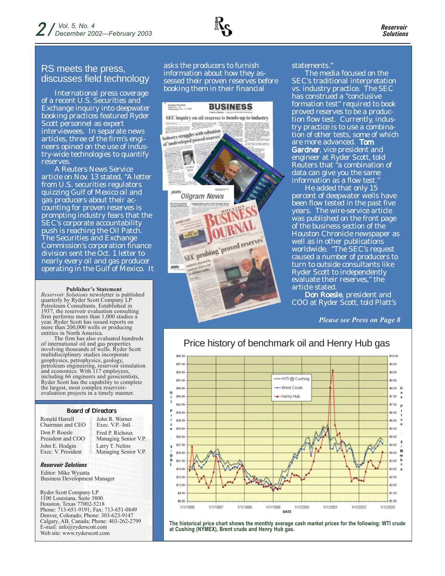

### RS meets the press, discusses field technology

International press coverage of a recent U.S. Securities and Exchange inquiry into deepwater booking practices featured Ryder Scott personnel as expert interviewees. In separate news articles, three of the firm's engineers opined on the use of industry-wide technologies to quantify reserves.

A *Reuters News Service* article on Nov. 13 stated, "A letter from U.S. securities regulators quizzing Gulf of Mexico oil and gas producers about their accounting for proven reserves is prompting industry fears that the SEC's corporate accountability push is reaching the Oil Patch. The Securities and Exchange Commission's corporation finance division sent the Oct. 1 letter to nearly every oil and gas producer operating in the Gulf of Mexico. It

#### **Publisher's Statement**

*Reservoir Solutions* newsletter is published quarterly by Ryder Scott Company LP Petroleum Consultants. Established in 1937, the reservoir evaluation consulting firm performs more than 1,000 studies a year. Ryder Scott has issued reports on more than 200,000 wells or producing entities in North America.

The firm has also evaluated hundreds of international oil and gas properties involving thousands of wells. Ryder Scott multidisciplinary studies incorporate geophysics, petrophysics, geology, petroleum engineering, reservoir simulation and economics. With 117 employees, including 66 engineers and geoscientists, Ryder Scott has the capability to complete the largest, most complex reservoirevaluation projects in a timely manner.

#### Board of Directors

Ronald Harrell Chairman and CEO Don P. Roesle President and COO John E. Hodgin Exec. V. President

Fred P. Richoux Managing Senior V.P. John R. Warner Exec. V.P.–Intl. Larry T. Nelms Managing Senior V.P.

#### *Reservoir Solutions*

Editor: Mike Wysatta Business Development Manager

Ryder Scott Company LP 1100 Louisiana, Suite 3800 Houston, Texas 77002-5218 Phone: 713-651-9191; Fax: 713-651-0849 Denver, Colorado; Phone: 303-623-9147 Calgary, AB, Canada; Phone: 403-262-2799 E-mail: info@ryderscott.com Web site: www.ryderscott.com

asks the producers to furnish information about how they assessed their proven reserves before booking them in their financial



#### statements."

The media focused on the SEC's traditional interpretation vs. industry practice. The SEC has construed a "conclusive formation test" required to book proved reserves to be a production flow test. Currently, industry practice is to use a combination of other tests, some of which are more advanced. Tom Gardner, vice president and engineer at Ryder Scott, told *Reuters* that "a combination of data can give you the same information as a flow test.

He added that only 15 percent of deepwater wells have been flow tested in the past five years. The wire-service article was published on the front page of the business section of the *Houston Chronicle* newspaper as well as in other publications worldwide. "The SEC's request caused a number of producers to turn to outside consultants like Ryder Scott to independently evaluate their reserves," the article stated.

Don Roesle, president and COO at Ryder Scott, told *Platt's*

*Please see Press on Page 8*

## Price history of benchmark oil and Henry Hub gas



**The historical price chart shows the monthly average cash market prices for the following: WTI crude at Cushing (NYMEX), Brent crude and Henry Hub gas.**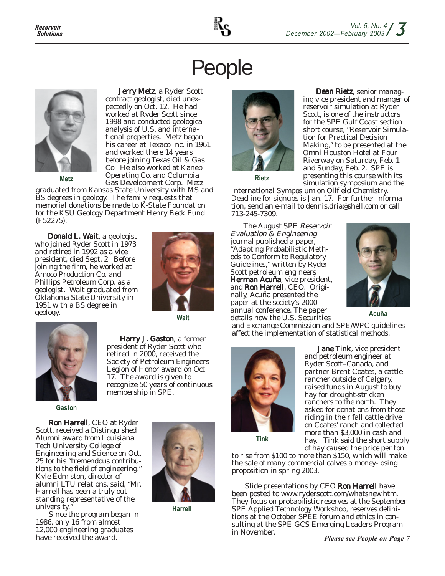# People



pectedly on Oct. 12. He had worked at Ryder Scott since 1998 and conducted geological analysis of U.S. and international properties. Metz began his career at Texaco Inc. in 1961 and worked there 14 years before joining Texas Oil & Gas Co. He also worked at Kaneb Operating Co. and Columbia Gas Development Corp. Metz

Jerry Metz, a Ryder Scott contract geologist, died unex-

graduated from Kansas State University with MS and BS degrees in geology. The family requests that memorial donations be made to K-State Foundation for the KSU Geology Department Henry Beck Fund (F52275).

Donald L. Wait, a geologist who joined Ryder Scott in 1973 and retired in 1992 as a vice president, died Sept. 2. Before joining the firm, he worked at Amoco Production Co. and Phillips Petroleum Corp. as a geologist. Wait graduated from Oklahoma State University in 1951 with a BS degree in geology. **Wait**





Harry J. Gaston, a former president of Ryder Scott who retired in 2000, received the Society of Petroleum Engineers Legion of Honor award on Oct. 17. The award is given to recognize 50 years of continuous membership in SPE.

**Gaston**

Ron Harrell, CEO at Ryder Scott, received a Distinguished Alumni award from Louisiana Tech University College of Engineering and Science on Oct. 25 for his "tremendous contributions to the field of engineering." Kyle Edmiston, director of alumni LTU relations, said, "Mr. Harrell has been a truly outstanding representative of the university."

Since the program began in 1986, only 16 from almost 12,000 engineering graduates have received the award.



**Harrell**



Dean Rietz, senior managing vice president and manger of reservoir simulation at Ryder Scott, is one of the instructors for the SPE Gulf Coast section short course, "Reservoir Simulation for Practical Decision Making," to be presented at the Omni Houston Hotel at Four Riverway on Saturday, Feb. 1 and Sunday, Feb. 2. SPE is presenting this course with its simulation symposium and the

**Rietz**

International Symposium on Oilfield Chemistry. Deadline for signups is Jan. 17. For further information, send an e-mail to dennis.dria@shell.com or call 713-245-7309.

The August SPE Reservoir Evaluation & Engineering journal published a paper, "Adapting Probabilistic Methods to Conform to Regulatory Guidelines," written by Ryder Scott petroleum engineers Herman Acuña, vice president, and **Ron Harrell**, CEO. Originally, Acuña presented the paper at the society's 2000 annual conference. The paper details how the U.S. Securities **Acuña**



and Exchange Commission and SPE/WPC guidelines affect the implementation of statistical methods.



**Jane Tink**, vice president and petroleum engineer at Ryder Scott–Canada, and partner Brent Coates, a cattle rancher outside of Calgary, raised funds in August to buy hay for drought-stricken ranchers to the north. They asked for donations from those riding in their fall cattle drive on Coates' ranch and collected more than \$3,000 in cash and hay. Tink said the short supply of hay caused the price per ton

**Tink**

to rise from \$100 to more than \$150, which will make the sale of many commercial calves a money-losing proposition in spring 2003.

Slide presentations by CEO Ron Harrell have been posted to www.ryderscott.com/whatsnew.htm. They focus on probabilistic reserves at the September SPE Applied Technology Workshop, reserves definitions at the October SPEE forum and ethics in consulting at the SPE-GCS Emerging Leaders Program in November.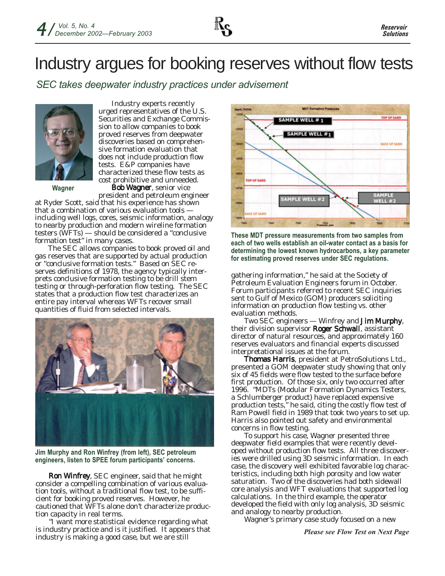# Industry argues for booking reserves without flow tests

*SEC takes deepwater industry practices under advisement*



Industry experts recently urged representatives of the U.S. Securities and Exchange Commission to allow companies to book proved reserves from deepwater discoveries based on comprehensive formation evaluation that does not include production flow tests. E&P companies have characterized these flow tests as cost prohibitive and unneeded. Bob Wagner, senior vice

**Wagner**

president and petroleum engineer at Ryder Scott, said that his experience has shown that a combination of various evaluation tools including well logs, cores, seismic information, analogy to nearby production and modern wireline formation testers (WFTs) — should be considered a "conclusive formation test" in many cases.

The SEC allows companies to book proved oil and gas reserves that are supported by actual production or "conclusive formation tests." Based on SEC reserves definitions of 1978, the agency typically interprets conclusive formation testing to be drill stem testing or through-perforation flow testing. The SEC states that a production flow test characterizes an entire pay interval whereas WFTs recover small quantities of fluid from selected intervals.



**Jim Murphy and Ron Winfrey (from left), SEC petroleum engineers, listen to SPEE forum participants' concerns.**

Ron Winfrey, SEC engineer, said that he might consider a compelling combination of various evaluation tools, without a traditional flow test, to be sufficient for booking proved reserves. However, he cautioned that WFTs alone don't characterize production capacity in real terms.

"I want more statistical evidence regarding what is industry practice and is it justified. It appears that industry is making a good case, but we are still



**These MDT pressure measurements from two samples from each of two wells establish an oil-water contact as a basis for determining the lowest known hydrocarbons, a key parameter for estimating proved reserves under SEC regulations.**

gathering information," he said at the Society of Petroleum Evaluation Engineers forum in October. Forum participants referred to recent SEC inquiries sent to Gulf of Mexico (GOM) producers soliciting information on production flow testing vs. other evaluation methods.

Two SEC engineers — Winfrey and Jim Murphy, their division supervisor Roger Schwall, assistant director of natural resources, and approximately 160 reserves evaluators and financial experts discussed interpretational issues at the forum.

Thomas Harris, president at PetroSolutions Ltd., presented a GOM deepwater study showing that only six of 45 fields were flow tested to the surface before first production. Of those six, only two occurred after 1996. "MDTs (Modular Formation Dynamics Testers, a Schlumberger product) have replaced expensive production tests," he said, citing the costly flow test of Ram Powell field in 1989 that took two years to set up. Harris also pointed out safety and environmental concerns in flow testing.

To support his case, Wagner presented three deepwater field examples that were recently developed without production flow tests. All three discoveries were drilled using 3D seismic information. In each case, the discovery well exhibited favorable log characteristics, including both high porosity and low water saturation. Two of the discoveries had both sidewall core analysis and WFT evaluations that supported log calculations. In the third example, the operator developed the field with only log analysis, 3D seismic and analogy to nearby production.

Wagner's primary case study focused on a new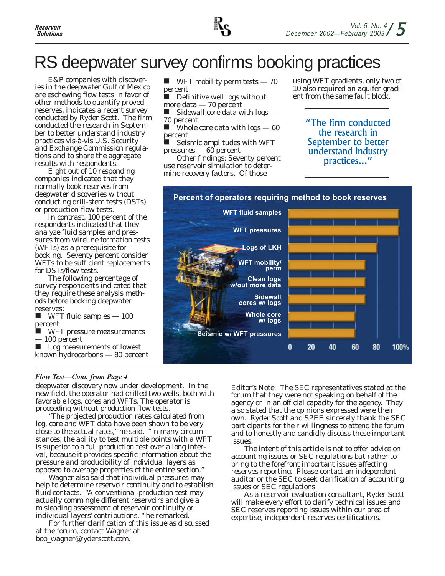

# RS deepwater survey confirms booking practices

E&P companies with discoveries in the deepwater Gulf of Mexico are eschewing flow tests in favor of other methods to quantify proved reserves, indicates a recent survey conducted by Ryder Scott. The firm conducted the research in September to better understand industry practices vis-à-vis U.S. Security and Exchange Commission regulations and to share the aggregate results with respondents.

Eight out of 10 responding companies indicated that they normally book reserves from deepwater discoveries without conducting drill-stem tests (DSTs) or production-flow tests.

In contrast, 100 percent of the respondents indicated that they analyze fluid samples and pressures from wireline formation tests (WFTs) as a prerequisite for booking. Seventy percent consider WFTs to be sufficient replacements for DSTs/flow tests.

The following percentage of survey respondents indicated that they require these analysis methods before booking deepwater reserves:

 $\blacksquare$  WFT fluid samples  $-100$ percent

**WFT** pressure measurements — 100 percent

**Log measurements of lowest** known hydrocarbons — 80 percent  $\blacksquare$  WFT mobility perm tests  $-70$ percent

 $\blacksquare$  Definitive well logs without more data — 70 percent

 $\blacksquare$  Sidewall core data with logs — 70 percent

 $\blacksquare$  Whole core data with logs  $-60$ percent

 $\blacksquare$  Seismic amplitudes with WFT pressures — 60 percent

Other findings: Seventy percent use reservoir simulation to determine recovery factors. Of those

using WFT gradients, only two of 10 also required an aquifer gradient from the same fault block.

> "The firm conducted the research in September to better understand industry practices..."



### *Flow Test—Cont. from Page 4*

deepwater discovery now under development. In the new field, the operator had drilled two wells, both with favorable logs, cores and WFTs. The operator is proceeding without production flow tests.

"The projected production rates calculated from log, core and WFT data have been shown to be very close to the actual rates," he said. "In many circumstances, the ability to test multiple points with a WFT is superior to a full production test over a long interval, because it provides specific information about the pressure and producibility of individual layers as opposed to average properties of the entire section."

Wagner also said that individual pressures may help to determine reservoir continuity and to establish fluid contacts. "A conventional production test may actually commingle different reservoirs and give a misleading assessment of reservoir continuity or individual layers' contributions, " he remarked.

For further clarification of this issue as discussed at the forum, contact Wagner at bob\_wagner@ryderscott.com.

*Editor's Note: The SEC representatives stated at the forum that they were not speaking on behalf of the agency or in an official capacity for the agency. They also stated that the opinions expressed were their own. Ryder Scott and SPEE sincerely thank the SEC participants for their willingness to attend the forum and to honestly and candidly discuss these important issues.*

*The intent of this article is not to offer advice on accounting issues or SEC regulations but rather to bring to the forefront important issues affecting reserves reporting. Please contact an independent auditor or the SEC to seek clarification of accounting issues or SEC regulations.*

*As a reservoir evaluation consultant, Ryder Scott will make every effort to clarify technical issues and SEC reserves reporting issues within our area of expertise, independent reserves certifications.*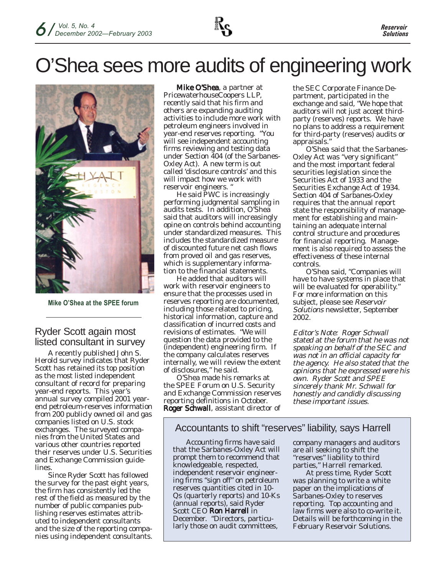# O'Shea sees more audits of engineering work



**Mike O'Shea at the SPEE forum**

### Ryder Scott again most listed consultant in survey

A recently published John S. Herold survey indicates that Ryder Scott has retained its top position as the most listed independent consultant of record for preparing year-end reports. This year's annual survey compiled 2001 yearend petroleum-reserves information from 200 publicly owned oil and gas companies listed on U.S. stock exchanges. The surveyed companies from the United States and various other countries reported their reserves under U.S. Securities and Exchange Commission guidelines

Since Ryder Scott has followed the survey for the past eight years, the firm has consistently led the rest of the field as measured by the number of public companies publishing reserves estimates attributed to independent consultants and the size of the reporting companies using independent consultants.

Mike O'Shea, a partner at PricewaterhouseCoopers LLP, recently said that his firm and others are expanding auditing activities to include more work with petroleum engineers involved in year-end reserves reporting. "You will see independent accounting firms reviewing and testing data under Section 404 (of the Sarbanes-Oxley Act). A new term is out called 'disclosure controls' and this will impact how we work with reservoir engineers. "

He said PWC is increasingly performing judgmental sampling in audits tests. In addition, O'Shea said that auditors will increasingly opine on controls behind accounting under standardized measures. This includes the standardized measure of discounted future net cash flows from proved oil and gas reserves, which is supplementary information to the financial statements.

He added that auditors will work with reservoir engineers to ensure that the processes used in reserves reporting are documented, including those related to pricing, historical information, capture and classification of incurred costs and revisions of estimates. "We will question the data provided to the (independent) engineering firm. If the company calculates reserves internally, we will review the extent of disclosures," he said.

O'Shea made his remarks at the SPEE Forum on U.S. Security and Exchange Commission reserves reporting definitions in October. Roger Schwall, assistant director of the SEC Corporate Finance Department, participated in the exchange and said, "We hope that auditors will not just accept thirdparty (reserves) reports. We have no plans to address a requirement for third-party (reserves) audits or appraisals."

O'Shea said that the Sarbanes-Oxley Act was "very significant" and the most important federal securities legislation since the Securities Act of 1933 and the Securities Exchange Act of 1934. Section 404 of Sarbanes-Oxley requires that the annual report state the responsibility of management for establishing and maintaining an adequate internal control structure and procedures for financial reporting. Management is also required to assess the effectiveness of these internal controls.

O'Shea said, "Companies will have to have systems in place that will be evaluated for operability." For more information on this subject, please see *Reservoir Solutions* newsletter, September 2002.

*Editor's Note: Roger Schwall stated at the forum that he was not speaking on behalf of the SEC and was not in an official capacity for the agency. He also stated that the opinions that he expressed were his own. Ryder Scott and SPEE sincerely thank Mr. Schwall for honestly and candidly discussing these important issues.*

### Accountants to shift "reserves" liability, says Harrell

Accounting firms have said that the Sarbanes-Oxley Act will prompt them to recommend that knowledgeable, respected, independent reservoir engineering firms "sign off" on petroleum reserves quantities cited in 10- Qs (quarterly reports) and 10-Ks (annual reports), said Ryder Scott CEO Ron Harrell in December. "Directors, particularly those on audit committees,

company managers and auditors are all seeking to shift the "reserves" liability to third parties," Harrell remarked.

At press time, Ryder Scott was planning to write a white paper on the implications of Sarbanes-Oxley to reserves reporting. Top accounting and law firms were also to co-write it. Details will be forthcoming in the February *Reservoir Solutions*.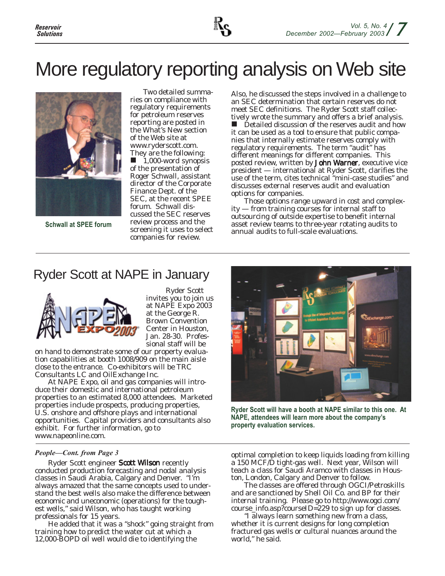

# More regulatory reporting analysis on Web site



**Schwall at SPEE forum**

Two detailed summaries on compliance with regulatory requirements for petroleum reserves reporting are posted in the What's New section of the Web site at www.ryderscott.com.

They are the following: 1,000-word synopsis of the presentation of Roger Schwall, assistant director of the Corporate Finance Dept. of the SEC, at the recent SPEE forum. Schwall discussed the SEC reserves review process and the screening it uses to select companies for review.

Also, he discussed the steps involved in a challenge to an SEC determination that certain reserves do not meet SEC definitions. The Ryder Scott staff collectively wrote the summary and offers a brief analysis. Detailed discussion of the reserves audit and how it can be used as a tool to ensure that public companies that internally estimate reserves comply with regulatory requirements. The term "audit" has different meanings for different companies. This posted review, written by John Warner, executive vice president — international at Ryder Scott, clarifies the use of the term, cites technical "mini-case studies" and discusses external reserves audit and evaluation options for companies.

Those options range upward in cost and complexity — from training courses for internal staff to outsourcing of outside expertise to benefit internal asset review teams to three-year rotating audits to annual audits to full-scale evaluations.

# Ryder Scott at NAPE in January



Ryder Scott invites you to join us at NAPE Expo 2003 at the George R. Brown Convention Center in Houston, Jan. 28-30. Professional staff will be

on hand to demonstrate some of our property evaluation capabilities at booth 1008/909 on the main aisle close to the entrance. Co-exhibitors will be TRC Consultants LC and OilExchange Inc.

At NAPE Expo, oil and gas companies will introduce their domestic and international petroleum properties to an estimated 8,000 attendees. Marketed properties include prospects, producing properties, U.S. onshore and offshore plays and international opportunities. Capital providers and consultants also exhibit. For further information, go to www.napeonline.com.

#### *People—Cont. from Page 3*

Ryder Scott engineer Scott Wilson recently conducted production forecasting and nodal analysis classes in Saudi Arabia, Calgary and Denver. "I'm always amazed that the same concepts used to understand the best wells also make the difference between economic and uneconomic (operations) for the toughest wells," said Wilson, who has taught working professionals for 15 years.

He added that it was a "shock" going straight from training how to predict the water cut at which a 12,000-BOPD oil well would die to identifying the



**Ryder Scott will have a booth at NAPE similar to this one. At NAPE, attendees will learn more about the company's property evaluation services.**

optimal completion to keep liquids loading from killing a 150 MCF/D tight-gas well. Next year, Wilson will teach a class for Saudi Aramco with classes in Houston, London, Calgary and Denver to follow.

The classes are offered through OGCI/Petroskills and are sanctioned by Shell Oil Co. and BP for their internal training. Please go to http://www.ogci.com/ course\_info.asp?courseID=229 to sign up for classes.

"I always learn something new from a class, whether it is current designs for long completion fractured gas wells or cultural nuances around the world," he said.